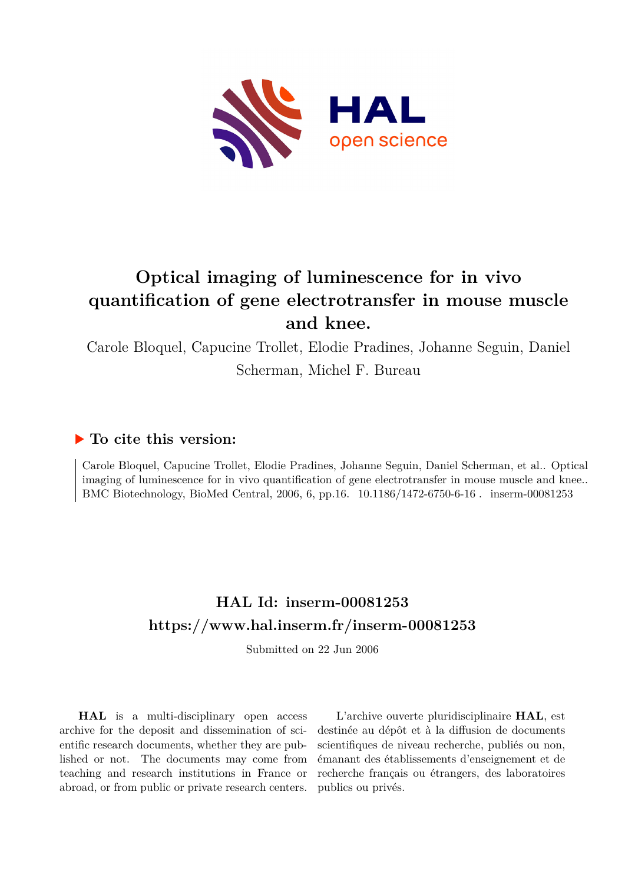

# **Optical imaging of luminescence for in vivo quantification of gene electrotransfer in mouse muscle and knee.**

Carole Bloquel, Capucine Trollet, Elodie Pradines, Johanne Seguin, Daniel Scherman, Michel F. Bureau

## **To cite this version:**

Carole Bloquel, Capucine Trollet, Elodie Pradines, Johanne Seguin, Daniel Scherman, et al.. Optical imaging of luminescence for in vivo quantification of gene electrotransfer in mouse muscle and knee.. BMC Biotechnology, BioMed Central, 2006, 6, pp.16.  $10.1186/1472-6750-6-16$ . inserm-00081253

## **HAL Id: inserm-00081253 <https://www.hal.inserm.fr/inserm-00081253>**

Submitted on 22 Jun 2006

**HAL** is a multi-disciplinary open access archive for the deposit and dissemination of scientific research documents, whether they are published or not. The documents may come from teaching and research institutions in France or abroad, or from public or private research centers.

L'archive ouverte pluridisciplinaire **HAL**, est destinée au dépôt et à la diffusion de documents scientifiques de niveau recherche, publiés ou non, émanant des établissements d'enseignement et de recherche français ou étrangers, des laboratoires publics ou privés.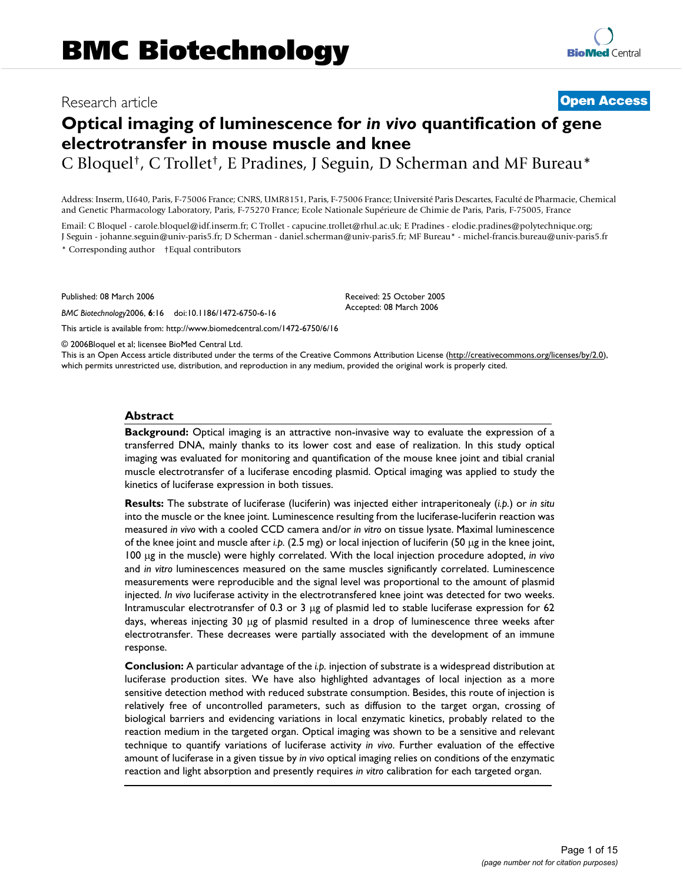### Research article **Contract Contract Contract Contract Contract Contract Contract Contract Contract Contract Contract Contract Contract Contract Contract Contract Contract Contract Contract Contract Contract Contract Contra**

# **Optical imaging of luminescence for** *in vivo* **quantification of gene electrotransfer in mouse muscle and knee**

C Bloquel†, C Trollet†, E Pradines, J Seguin, D Scherman and MF Bureau\*

Address: Inserm, U640, Paris, F-75006 France; CNRS, UMR8151, Paris, F-75006 France; Université Paris Descartes, Faculté de Pharmacie, Chemical and Genetic Pharmacology Laboratory, Paris, F-75270 France; Ecole Nationale Supérieure de Chimie de Paris, Paris, F-75005, France

Email: C Bloquel - carole.bloquel@idf.inserm.fr; C Trollet - capucine.trollet@rhul.ac.uk; E Pradines - elodie.pradines@polytechnique.org; J Seguin - johanne.seguin@univ-paris5.fr; D Scherman - daniel.scherman@univ-paris5.fr; MF Bureau\* - michel-francis.bureau@univ-paris5.fr \* Corresponding author †Equal contributors

Published: 08 March 2006

*BMC Biotechnology*2006, **6**:16 doi:10.1186/1472-6750-6-16

[This article is available from: http://www.biomedcentral.com/1472-6750/6/16](http://www.biomedcentral.com/1472-6750/6/16)

Received: 25 October 2005 Accepted: 08 March 2006

© 2006Bloquel et al; licensee BioMed Central Ltd.

This is an Open Access article distributed under the terms of the Creative Commons Attribution License [\(http://creativecommons.org/licenses/by/2.0\)](http://creativecommons.org/licenses/by/2.0), which permits unrestricted use, distribution, and reproduction in any medium, provided the original work is properly cited.

#### **Abstract**

**Background:** Optical imaging is an attractive non-invasive way to evaluate the expression of a transferred DNA, mainly thanks to its lower cost and ease of realization. In this study optical imaging was evaluated for monitoring and quantification of the mouse knee joint and tibial cranial muscle electrotransfer of a luciferase encoding plasmid. Optical imaging was applied to study the kinetics of luciferase expression in both tissues.

**Results:** The substrate of luciferase (luciferin) was injected either intraperitonealy (*i.p.*) or *in situ* into the muscle or the knee joint. Luminescence resulting from the luciferase-luciferin reaction was measured *in vivo* with a cooled CCD camera and/or *in vitro* on tissue lysate. Maximal luminescence of the knee joint and muscle after *i.p.* (2.5 mg) or local injection of luciferin (50 µg in the knee joint, 100 µg in the muscle) were highly correlated. With the local injection procedure adopted, *in vivo* and *in vitro* luminescences measured on the same muscles significantly correlated. Luminescence measurements were reproducible and the signal level was proportional to the amount of plasmid injected. *In vivo* luciferase activity in the electrotransfered knee joint was detected for two weeks. Intramuscular electrotransfer of 0.3 or 3 µg of plasmid led to stable luciferase expression for 62 days, whereas injecting 30 µg of plasmid resulted in a drop of luminescence three weeks after electrotransfer. These decreases were partially associated with the development of an immune response.

**Conclusion:** A particular advantage of the *i.p.* injection of substrate is a widespread distribution at luciferase production sites. We have also highlighted advantages of local injection as a more sensitive detection method with reduced substrate consumption. Besides, this route of injection is relatively free of uncontrolled parameters, such as diffusion to the target organ, crossing of biological barriers and evidencing variations in local enzymatic kinetics, probably related to the reaction medium in the targeted organ. Optical imaging was shown to be a sensitive and relevant technique to quantify variations of luciferase activity *in vivo*. Further evaluation of the effective amount of luciferase in a given tissue by *in vivo* optical imaging relies on conditions of the enzymatic reaction and light absorption and presently requires *in vitro* calibration for each targeted organ.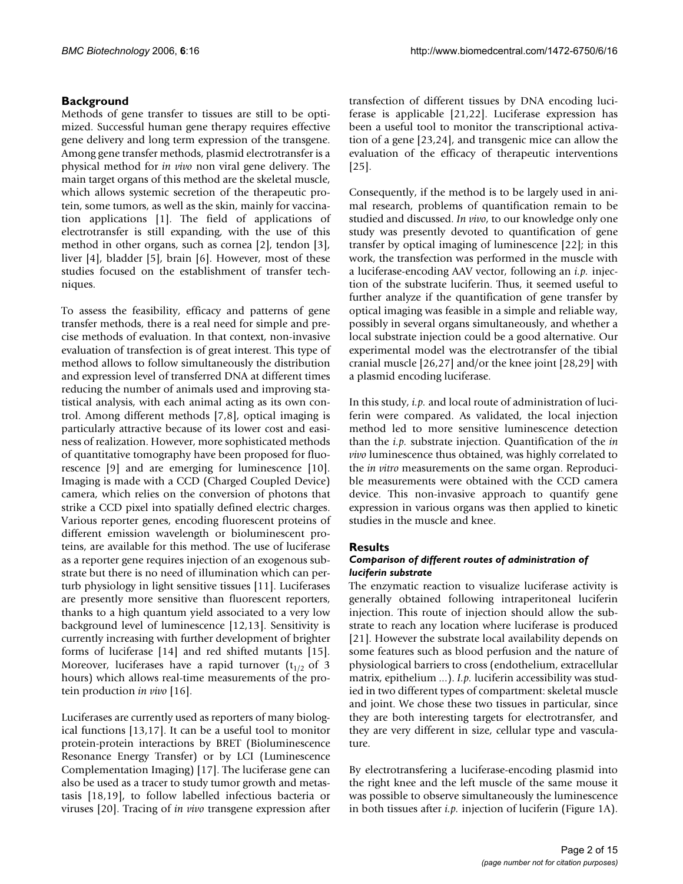### **Background**

Methods of gene transfer to tissues are still to be optimized. Successful human gene therapy requires effective gene delivery and long term expression of the transgene. Among gene transfer methods, plasmid electrotransfer is a physical method for *in vivo* non viral gene delivery. The main target organs of this method are the skeletal muscle, which allows systemic secretion of the therapeutic protein, some tumors, as well as the skin, mainly for vaccination applications [1]. The field of applications of electrotransfer is still expanding, with the use of this method in other organs, such as cornea [2], tendon [3], liver [4], bladder [5], brain [6]. However, most of these studies focused on the establishment of transfer techniques.

To assess the feasibility, efficacy and patterns of gene transfer methods, there is a real need for simple and precise methods of evaluation. In that context, non-invasive evaluation of transfection is of great interest. This type of method allows to follow simultaneously the distribution and expression level of transferred DNA at different times reducing the number of animals used and improving statistical analysis, with each animal acting as its own control. Among different methods [7,8], optical imaging is particularly attractive because of its lower cost and easiness of realization. However, more sophisticated methods of quantitative tomography have been proposed for fluorescence [9] and are emerging for luminescence [10]. Imaging is made with a CCD (Charged Coupled Device) camera, which relies on the conversion of photons that strike a CCD pixel into spatially defined electric charges. Various reporter genes, encoding fluorescent proteins of different emission wavelength or bioluminescent proteins, are available for this method. The use of luciferase as a reporter gene requires injection of an exogenous substrate but there is no need of illumination which can perturb physiology in light sensitive tissues [11]. Luciferases are presently more sensitive than fluorescent reporters, thanks to a high quantum yield associated to a very low background level of luminescence [12,13]. Sensitivity is currently increasing with further development of brighter forms of luciferase [14] and red shifted mutants [15]. Moreover, luciferases have a rapid turnover  $(t_{1/2}$  of 3 hours) which allows real-time measurements of the protein production *in vivo* [16].

Luciferases are currently used as reporters of many biological functions [13,17]. It can be a useful tool to monitor protein-protein interactions by BRET (Bioluminescence Resonance Energy Transfer) or by LCI (Luminescence Complementation Imaging) [17]. The luciferase gene can also be used as a tracer to study tumor growth and metastasis [18,19], to follow labelled infectious bacteria or viruses [20]. Tracing of *in vivo* transgene expression after

transfection of different tissues by DNA encoding luciferase is applicable [21,22]. Luciferase expression has been a useful tool to monitor the transcriptional activation of a gene [23,24], and transgenic mice can allow the evaluation of the efficacy of therapeutic interventions  $[25]$ .

Consequently, if the method is to be largely used in animal research, problems of quantification remain to be studied and discussed. *In vivo*, to our knowledge only one study was presently devoted to quantification of gene transfer by optical imaging of luminescence [22]; in this work, the transfection was performed in the muscle with a luciferase-encoding AAV vector, following an *i.p.* injection of the substrate luciferin. Thus, it seemed useful to further analyze if the quantification of gene transfer by optical imaging was feasible in a simple and reliable way, possibly in several organs simultaneously, and whether a local substrate injection could be a good alternative. Our experimental model was the electrotransfer of the tibial cranial muscle [26,27] and/or the knee joint [28,29] with a plasmid encoding luciferase.

In this study, *i.p.* and local route of administration of luciferin were compared. As validated, the local injection method led to more sensitive luminescence detection than the *i.p.* substrate injection. Quantification of the *in vivo* luminescence thus obtained, was highly correlated to the *in vitro* measurements on the same organ. Reproducible measurements were obtained with the CCD camera device. This non-invasive approach to quantify gene expression in various organs was then applied to kinetic studies in the muscle and knee.

#### **Results**

#### *Comparison of different routes of administration of luciferin substrate*

The enzymatic reaction to visualize luciferase activity is generally obtained following intraperitoneal luciferin injection. This route of injection should allow the substrate to reach any location where luciferase is produced [21]. However the substrate local availability depends on some features such as blood perfusion and the nature of physiological barriers to cross (endothelium, extracellular matrix, epithelium ...). *I.p.* luciferin accessibility was studied in two different types of compartment: skeletal muscle and joint. We chose these two tissues in particular, since they are both interesting targets for electrotransfer, and they are very different in size, cellular type and vasculature.

By electrotransfering a luciferase-encoding plasmid into the right knee and the left muscle of the same mouse it was possible to observe simultaneously the luminescence in both tissues after *i.p.* injection of luciferin (Figure 1A).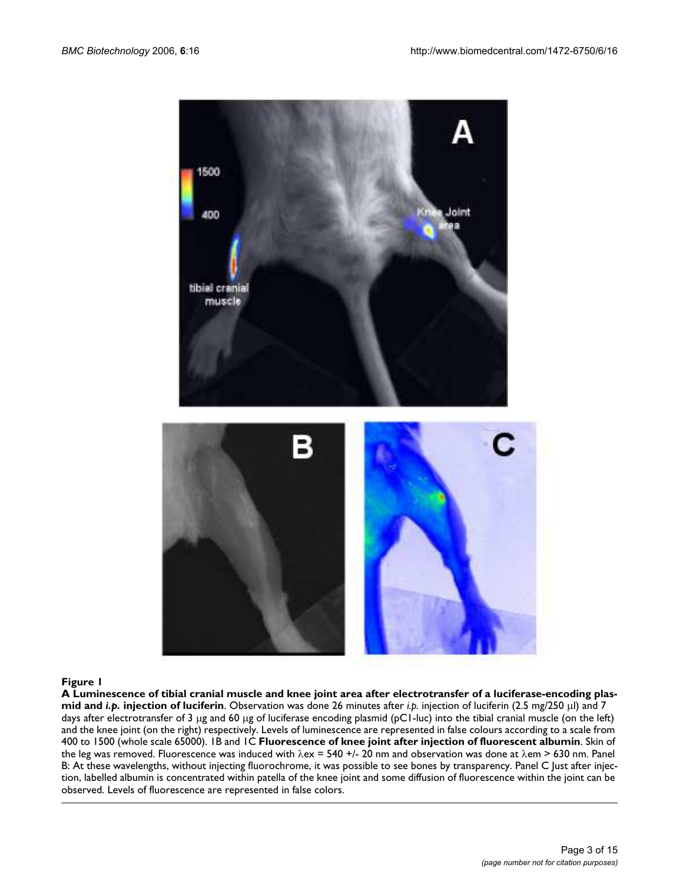

**A Luminescence of tibial cranial muscle and knee joint area after electrotransfer of a luciferase-encoding plasmid and** *i.p.* **injection of luciferin**. Observation was done 26 minutes after *i.p.* injection of luciferin (2.5 mg/250 µl) and 7 days after electrotransfer of 3 µg and 60 µg of luciferase encoding plasmid (pC1-luc) into the tibial cranial muscle (on the left) and the knee joint (on the right) respectively. Levels of luminescence are represented in false colours according to a scale from 400 to 1500 (whole scale 65000). 1B and 1C **Fluorescence of knee joint after injection of fluorescent albumin**. Skin of the leg was removed. Fluorescence was induced with  $λ$ ex = 540 +/- 20 nm and observation was done at  $λ$ em > 630 nm. Panel B: At these wavelengths, without injecting fluorochrome, it was possible to see bones by transparency. Panel C Just after injection, labelled albumin is concentrated within patella of the knee joint and some diffusion of fluorescence within the joint can be observed. Levels of fluorescence are represented in false colors.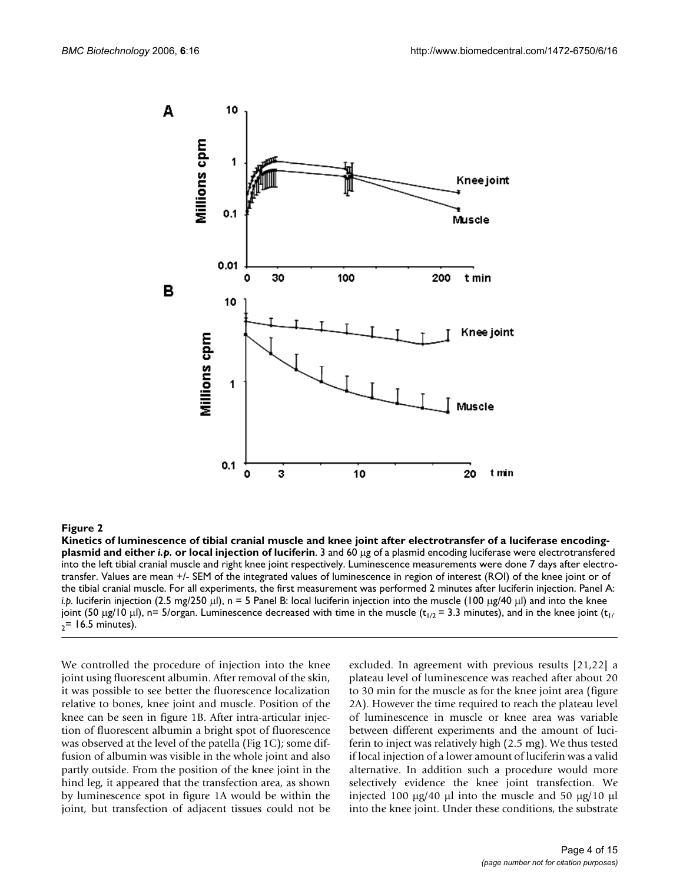

Kinetics of luminescence of tibial crania *i.p.* **Figure 2** or local injection of luciferin l muscle and knee joint after electrotransfer of a luciferase encoding-plasmid and either **Kinetics of luminescence of tibial cranial muscle and knee joint after electrotransfer of a luciferase encodingplasmid and either** *i.p.* **or local injection of luciferin**. 3 and 60 µg of a plasmid encoding luciferase were electrotransfered into the left tibial cranial muscle and right knee joint respectively. Luminescence measurements were done 7 days after electrotransfer. Values are mean +/- SEM of the integrated values of luminescence in region of interest (ROI) of the knee joint or of the tibial cranial muscle. For all experiments, the first measurement was performed 2 minutes after luciferin injection. Panel A: *i.p.* luciferin injection (2.5 mg/250 µl), n = 5 Panel B: local luciferin injection into the muscle (100 µg/40 µl) and into the knee joint (50 µg/10 µl), n= 5/organ. Luminescence decreased with time in the muscle ( $t_{1/2}$  = 3.3 minutes), and in the knee joint ( $t_{1/2}$ )  $2^{\text{=} 16.5}$  minutes).

We controlled the procedure of injection into the knee joint using fluorescent albumin. After removal of the skin, it was possible to see better the fluorescence localization relative to bones, knee joint and muscle. Position of the knee can be seen in figure 1B. After intra-articular injection of fluorescent albumin a bright spot of fluorescence was observed at the level of the patella (Fig 1C); some diffusion of albumin was visible in the whole joint and also partly outside. From the position of the knee joint in the hind leg, it appeared that the transfection area, as shown by luminescence spot in figure 1A would be within the joint, but transfection of adjacent tissues could not be

excluded. In agreement with previous results [21,22] a plateau level of luminescence was reached after about 20 to 30 min for the muscle as for the knee joint area (figure 2A). However the time required to reach the plateau level of luminescence in muscle or knee area was variable between different experiments and the amount of luciferin to inject was relatively high (2.5 mg). We thus tested if local injection of a lower amount of luciferin was a valid alternative. In addition such a procedure would more selectively evidence the knee joint transfection. We injected 100  $\mu$ g/40  $\mu$ l into the muscle and 50  $\mu$ g/10  $\mu$ l into the knee joint. Under these conditions, the substrate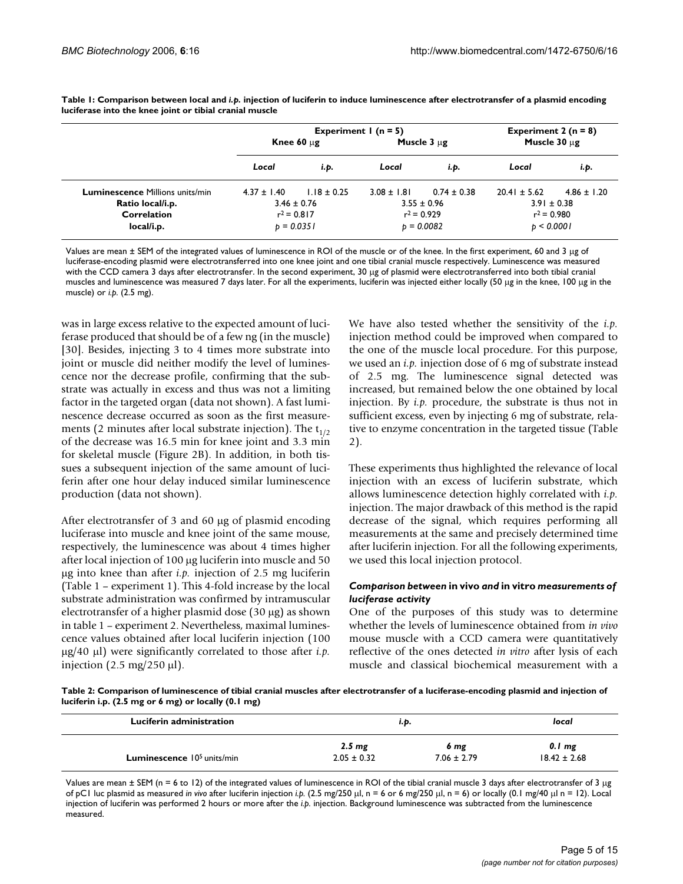|                                        | Experiment $l(n = 5)$ |                 |                  |                 | Experiment 2 ( $n = 8$ ) |               |
|----------------------------------------|-----------------------|-----------------|------------------|-----------------|--------------------------|---------------|
|                                        | Knee $60 \mu$ g       |                 | Muscle $3 \mu$ g |                 | Muscle $30 \mu$ g        |               |
|                                        | Local                 | i.b.            | Local            | i.þ.            | Local                    | i.þ.          |
| <b>Luminescence Millions units/min</b> | $4.37 \pm 1.40$       | $1.18 \pm 0.25$ | $3.08 \pm 1.81$  | $0.74 \pm 0.38$ | $20.41 \pm 5.62$         | $4.86 + 1.20$ |
| Ratio local/i.p.                       | $3.46 \pm 0.76$       |                 | $3.55 \pm 0.96$  |                 | $3.91 \pm 0.38$          |               |
| Correlation                            | $r^2 = 0.817$         |                 | $r^2$ = 0.929    |                 | $r^2 = 0.980$            |               |
| local/i.p.                             | $p = 0.0351$          |                 | $b = 0.0082$     |                 | b < 0.0001               |               |

**Table 1: Comparison between local and** *i.p.* **injection of luciferin to induce luminescence after electrotransfer of a plasmid encoding luciferase into the knee joint or tibial cranial muscle**

Values are mean ± SEM of the integrated values of luminescence in ROI of the muscle or of the knee. In the first experiment, 60 and 3 µg of luciferase-encoding plasmid were electrotransferred into one knee joint and one tibial cranial muscle respectively. Luminescence was measured with the CCD camera 3 days after electrotransfer. In the second experiment, 30 µg of plasmid were electrotransferred into both tibial cranial muscles and luminescence was measured 7 days later. For all the experiments, luciferin was injected either locally (50 µg in the knee, 100 µg in the muscle) or *i.p.* (2.5 mg).

was in large excess relative to the expected amount of luciferase produced that should be of a few ng (in the muscle) [30]. Besides, injecting 3 to 4 times more substrate into joint or muscle did neither modify the level of luminescence nor the decrease profile, confirming that the substrate was actually in excess and thus was not a limiting factor in the targeted organ (data not shown). A fast luminescence decrease occurred as soon as the first measurements (2 minutes after local substrate injection). The  $t_{1/2}$ of the decrease was 16.5 min for knee joint and 3.3 min for skeletal muscle (Figure 2B). In addition, in both tissues a subsequent injection of the same amount of luciferin after one hour delay induced similar luminescence production (data not shown).

After electrotransfer of 3 and 60 µg of plasmid encoding luciferase into muscle and knee joint of the same mouse, respectively, the luminescence was about 4 times higher after local injection of 100 µg luciferin into muscle and 50 µg into knee than after *i.p.* injection of 2.5 mg luciferin (Table 1 – experiment 1). This 4-fold increase by the local substrate administration was confirmed by intramuscular electrotransfer of a higher plasmid dose (30 µg) as shown in table 1 – experiment 2. Nevertheless, maximal luminescence values obtained after local luciferin injection (100 µg/40 µl) were significantly correlated to those after *i.p.* injection  $(2.5 \text{ mg}/250 \text{ µl})$ .

We have also tested whether the sensitivity of the *i.p.* injection method could be improved when compared to the one of the muscle local procedure. For this purpose, we used an *i.p.* injection dose of 6 mg of substrate instead of 2.5 mg. The luminescence signal detected was increased, but remained below the one obtained by local injection. By *i.p.* procedure, the substrate is thus not in sufficient excess, even by injecting 6 mg of substrate, relative to enzyme concentration in the targeted tissue (Table 2).

These experiments thus highlighted the relevance of local injection with an excess of luciferin substrate, which allows luminescence detection highly correlated with *i.p.* injection. The major drawback of this method is the rapid decrease of the signal, which requires performing all measurements at the same and precisely determined time after luciferin injection. For all the following experiments, we used this local injection protocol.

#### *Comparison between* **in vivo** *and* **in vitro** *measurements of luciferase activity*

One of the purposes of this study was to determine whether the levels of luminescence obtained from *in vivo* mouse muscle with a CCD camera were quantitatively reflective of the ones detected *in vitro* after lysis of each muscle and classical biochemical measurement with a

**Table 2: Comparison of luminescence of tibial cranial muscles after electrotransfer of a luciferase-encoding plasmid and injection of luciferin i.p. (2.5 mg or 6 mg) or locally (0.1 mg)**

| Luciferin administration            | ı.p.             | local           |                   |
|-------------------------------------|------------------|-----------------|-------------------|
| <b>Luminescence</b> $105$ units/min | $2.5 \text{ mg}$ | 6 mg            | 0.1 <sub>mg</sub> |
|                                     | $2.05 \pm 0.32$  | $7.06 \pm 2.79$ | $18.42 \pm 2.68$  |

Values are mean ± SEM (n = 6 to 12) of the integrated values of luminescence in ROI of the tibial cranial muscle 3 days after electrotransfer of 3 µg of pC1 luc plasmid as measured *in vivo* after luciferin injection *i.p.* (2.5 mg/250 µl, n = 6 or 6 mg/250 µl, n = 6) or locally (0.1 mg/40 µl n = 12). Local injection of luciferin was performed 2 hours or more after the *i.p.* injection. Background luminescence was subtracted from the luminescence measured.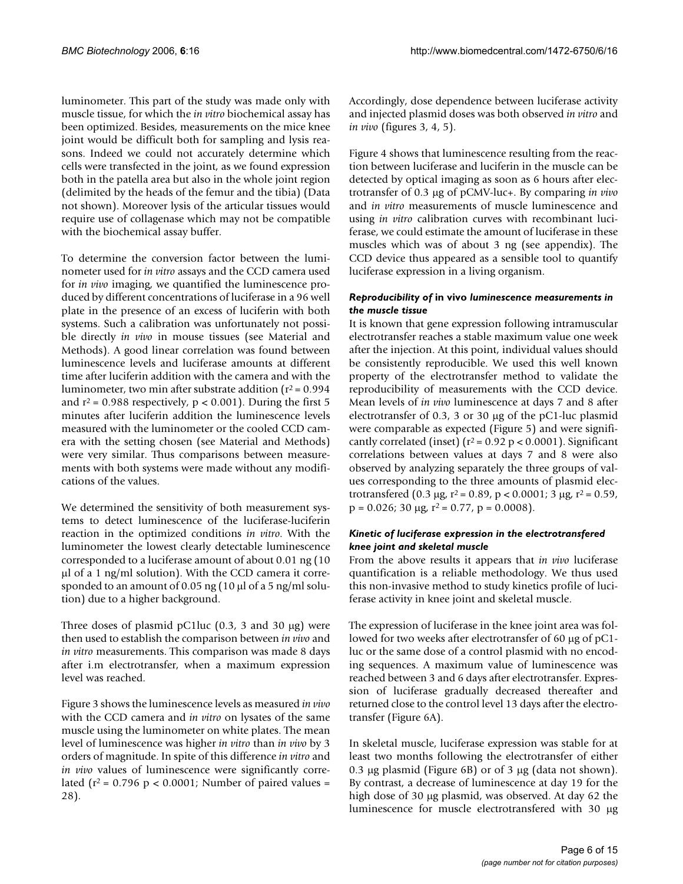luminometer. This part of the study was made only with muscle tissue, for which the *in vitro* biochemical assay has been optimized. Besides, measurements on the mice knee joint would be difficult both for sampling and lysis reasons. Indeed we could not accurately determine which cells were transfected in the joint, as we found expression both in the patella area but also in the whole joint region (delimited by the heads of the femur and the tibia) (Data not shown). Moreover lysis of the articular tissues would require use of collagenase which may not be compatible with the biochemical assay buffer.

To determine the conversion factor between the luminometer used for *in vitro* assays and the CCD camera used for *in vivo* imaging, we quantified the luminescence produced by different concentrations of luciferase in a 96 well plate in the presence of an excess of luciferin with both systems. Such a calibration was unfortunately not possible directly *in vivo* in mouse tissues (see Material and Methods). A good linear correlation was found between luminescence levels and luciferase amounts at different time after luciferin addition with the camera and with the luminometer, two min after substrate addition  $(r^2 = 0.994)$ and  $r^2$  = 0.988 respectively,  $p < 0.001$ ). During the first 5 minutes after luciferin addition the luminescence levels measured with the luminometer or the cooled CCD camera with the setting chosen (see Material and Methods) were very similar. Thus comparisons between measurements with both systems were made without any modifications of the values.

We determined the sensitivity of both measurement systems to detect luminescence of the luciferase-luciferin reaction in the optimized conditions *in vitro*. With the luminometer the lowest clearly detectable luminescence corresponded to a luciferase amount of about 0.01 ng (10 µl of a 1 ng/ml solution). With the CCD camera it corresponded to an amount of 0.05 ng  $(10 \mu)$  of a 5 ng/ml solution) due to a higher background.

Three doses of plasmid pC1luc (0.3, 3 and 30 µg) were then used to establish the comparison between *in vivo* and *in vitro* measurements. This comparison was made 8 days after i.m electrotransfer, when a maximum expression level was reached.

Figure 3 shows the luminescence levels as measured *in vivo* with the CCD camera and *in vitro* on lysates of the same muscle using the luminometer on white plates. The mean level of luminescence was higher *in vitro* than *in vivo* by 3 orders of magnitude. In spite of this difference *in vitro* and *in vivo* values of luminescence were significantly correlated ( $r^2$  = 0.796 p < 0.0001; Number of paired values = 28).

Accordingly, dose dependence between luciferase activity and injected plasmid doses was both observed *in vitro* and *in vivo* (figures 3, 4, 5).

Figure 4 shows that luminescence resulting from the reaction between luciferase and luciferin in the muscle can be detected by optical imaging as soon as 6 hours after electrotransfer of 0.3 µg of pCMV-luc+. By comparing *in vivo* and *in vitro* measurements of muscle luminescence and using *in vitro* calibration curves with recombinant luciferase, we could estimate the amount of luciferase in these muscles which was of about 3 ng (see appendix). The CCD device thus appeared as a sensible tool to quantify luciferase expression in a living organism.

#### *Reproducibility of* **in vivo** *luminescence measurements in the muscle tissue*

It is known that gene expression following intramuscular electrotransfer reaches a stable maximum value one week after the injection. At this point, individual values should be consistently reproducible. We used this well known property of the electrotransfer method to validate the reproducibility of measurements with the CCD device. Mean levels of *in vivo* luminescence at days 7 and 8 after electrotransfer of 0.3, 3 or 30 µg of the pC1-luc plasmid were comparable as expected (Figure 5) and were significantly correlated (inset) ( $r^2$  = 0.92 p < 0.0001). Significant correlations between values at days 7 and 8 were also observed by analyzing separately the three groups of values corresponding to the three amounts of plasmid electrotransfered (0.3  $\mu$ g, r<sup>2</sup> = 0.89, p < 0.0001; 3  $\mu$ g, r<sup>2</sup> = 0.59,  $p = 0.026$ ; 30  $\mu$ g,  $r^2 = 0.77$ ,  $p = 0.0008$ ).

#### *Kinetic of luciferase expression in the electrotransfered knee joint and skeletal muscle*

From the above results it appears that *in vivo* luciferase quantification is a reliable methodology. We thus used this non-invasive method to study kinetics profile of luciferase activity in knee joint and skeletal muscle.

The expression of luciferase in the knee joint area was followed for two weeks after electrotransfer of 60 µg of pC1 luc or the same dose of a control plasmid with no encoding sequences. A maximum value of luminescence was reached between 3 and 6 days after electrotransfer. Expression of luciferase gradually decreased thereafter and returned close to the control level 13 days after the electrotransfer (Figure 6A).

In skeletal muscle, luciferase expression was stable for at least two months following the electrotransfer of either 0.3 µg plasmid (Figure 6B) or of 3 µg (data not shown). By contrast, a decrease of luminescence at day 19 for the high dose of 30 µg plasmid, was observed. At day 62 the luminescence for muscle electrotransfered with 30 µg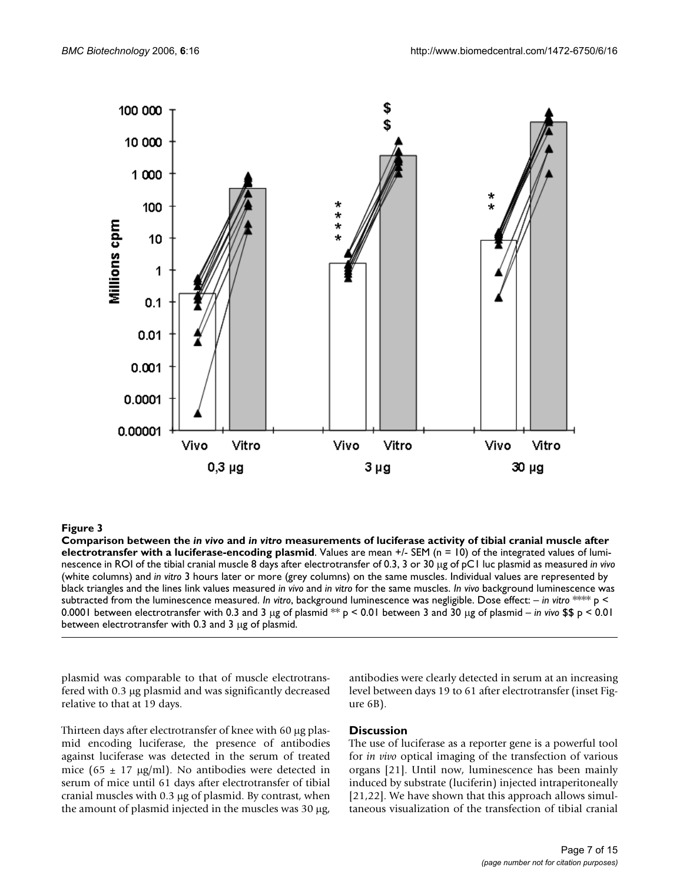

#### with a luciferase-encoding plasmid **Figure 3** Comparison between the *in vivo* and *in vitro* measurements of luciferase activity of tibial cranial muscle after electrotransfer

**Comparison between the** *in vivo* **and** *in vitro* **measurements of luciferase activity of tibial cranial muscle after electrotransfer with a luciferase-encoding plasmid**. Values are mean +/- SEM (n = 10) of the integrated values of luminescence in ROI of the tibial cranial muscle 8 days after electrotransfer of 0.3, 3 or 30 µg of pC1 luc plasmid as measured *in vivo*  (white columns) and *in vitro* 3 hours later or more (grey columns) on the same muscles. Individual values are represented by black triangles and the lines link values measured *in vivo* and *in vitro* for the same muscles. *In vivo* background luminescence was subtracted from the luminescence measured. *In vitro*, background luminescence was negligible. Dose effect: – *in vitro* \*\*\*\* p < 0.0001 between electrotransfer with 0.3 and 3 µg of plasmid \*\* p < 0.01 between 3 and 30 µg of plasmid – *in vivo* \$\$ p < 0.01 between electrotransfer with 0.3 and 3 µg of plasmid.

plasmid was comparable to that of muscle electrotransfered with 0.3 µg plasmid and was significantly decreased relative to that at 19 days.

Thirteen days after electrotransfer of knee with 60 µg plasmid encoding luciferase, the presence of antibodies against luciferase was detected in the serum of treated mice (65  $\pm$  17 µg/ml). No antibodies were detected in serum of mice until 61 days after electrotransfer of tibial cranial muscles with 0.3 µg of plasmid. By contrast, when the amount of plasmid injected in the muscles was 30 µg,

antibodies were clearly detected in serum at an increasing level between days 19 to 61 after electrotransfer (inset Figure 6B).

#### **Discussion**

The use of luciferase as a reporter gene is a powerful tool for *in vivo* optical imaging of the transfection of various organs [21]. Until now, luminescence has been mainly induced by substrate (luciferin) injected intraperitoneally [21,22]. We have shown that this approach allows simultaneous visualization of the transfection of tibial cranial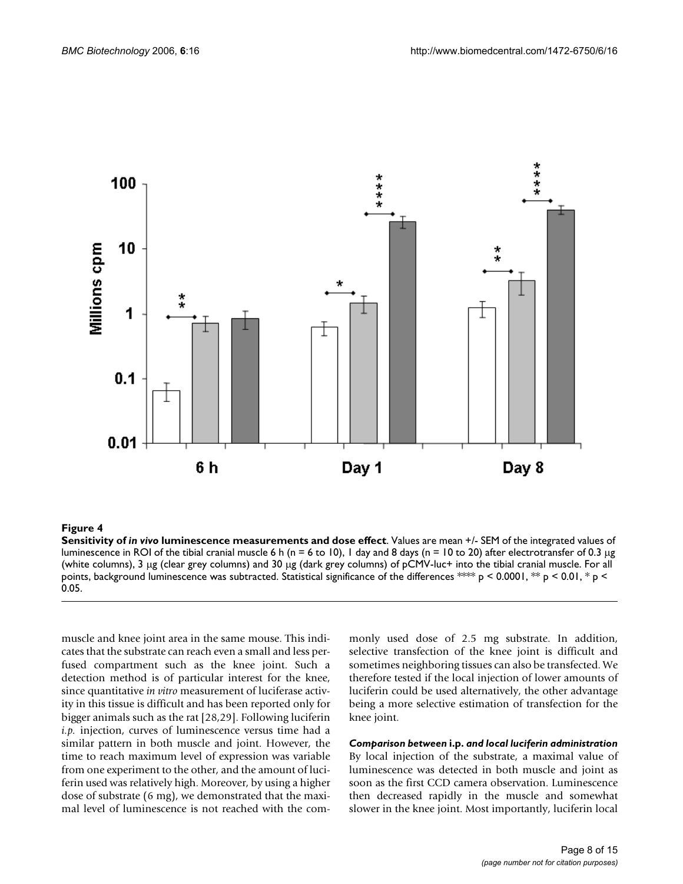

#### **Figure 4**

**Sensitivity of** *in vivo* **luminescence measurements and dose effect**. Values are mean +/- SEM of the integrated values of luminescence in ROI of the tibial cranial muscle 6 h (n = 6 to 10), 1 day and 8 days (n = 10 to 20) after electrotransfer of 0.3 µg (white columns), 3 µg (clear grey columns) and 30 µg (dark grey columns) of pCMV-luc+ into the tibial cranial muscle. For all points, background luminescence was subtracted. Statistical significance of the differences \*\*\* p < 0.0001, \*\* p < 0.01, \* p < 0.05.

muscle and knee joint area in the same mouse. This indicates that the substrate can reach even a small and less perfused compartment such as the knee joint. Such a detection method is of particular interest for the knee, since quantitative *in vitro* measurement of luciferase activity in this tissue is difficult and has been reported only for bigger animals such as the rat [28,29]. Following luciferin *i.p.* injection, curves of luminescence versus time had a similar pattern in both muscle and joint. However, the time to reach maximum level of expression was variable from one experiment to the other, and the amount of luciferin used was relatively high. Moreover, by using a higher dose of substrate (6 mg), we demonstrated that the maximal level of luminescence is not reached with the commonly used dose of 2.5 mg substrate. In addition, selective transfection of the knee joint is difficult and sometimes neighboring tissues can also be transfected. We therefore tested if the local injection of lower amounts of luciferin could be used alternatively, the other advantage being a more selective estimation of transfection for the knee joint.

*Comparison between* **i.p.** *and local luciferin administration* By local injection of the substrate, a maximal value of luminescence was detected in both muscle and joint as soon as the first CCD camera observation. Luminescence then decreased rapidly in the muscle and somewhat slower in the knee joint. Most importantly, luciferin local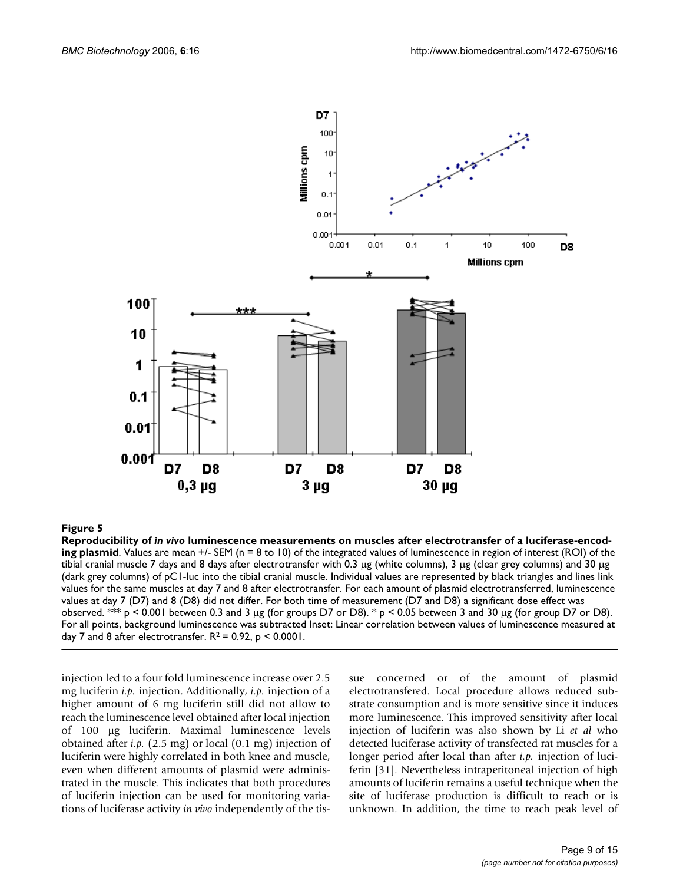

#### **Figure 5** Reproducibility of *in vivo* luminescence measurements on muscles after electrotransfer of a luciferase-encoding plasmid

**Reproducibility of** *in vivo* **luminescence measurements on muscles after electrotransfer of a luciferase-encoding plasmid**. Values are mean +/- SEM (n = 8 to 10) of the integrated values of luminescence in region of interest (ROI) of the tibial cranial muscle 7 days and 8 days after electrotransfer with 0.3 µg (white columns), 3 µg (clear grey columns) and 30 µg (dark grey columns) of pC1-luc into the tibial cranial muscle. Individual values are represented by black triangles and lines link values for the same muscles at day 7 and 8 after electrotransfer. For each amount of plasmid electrotransferred, luminescence values at day 7 (D7) and 8 (D8) did not differ. For both time of measurement (D7 and D8) a significant dose effect was observed. \*\*  $p < 0.001$  between 0.3 and 3 µg (for groups D7 or D8). \*  $p < 0.05$  between 3 and 30 µg (for group D7 or D8). For all points, background luminescence was subtracted Inset: Linear correlation between values of luminescence measured at day 7 and 8 after electrotransfer.  $R^2 = 0.92$ ,  $p \le 0.0001$ .

injection led to a four fold luminescence increase over 2.5 mg luciferin *i.p.* injection. Additionally, *i.p.* injection of a higher amount of 6 mg luciferin still did not allow to reach the luminescence level obtained after local injection of 100 µg luciferin. Maximal luminescence levels obtained after *i.p.* (2.5 mg) or local (0.1 mg) injection of luciferin were highly correlated in both knee and muscle, even when different amounts of plasmid were administrated in the muscle. This indicates that both procedures of luciferin injection can be used for monitoring variations of luciferase activity *in vivo* independently of the tissue concerned or of the amount of plasmid electrotransfered. Local procedure allows reduced substrate consumption and is more sensitive since it induces more luminescence. This improved sensitivity after local injection of luciferin was also shown by Li *et al* who detected luciferase activity of transfected rat muscles for a longer period after local than after *i.p.* injection of luciferin [31]. Nevertheless intraperitoneal injection of high amounts of luciferin remains a useful technique when the site of luciferase production is difficult to reach or is unknown. In addition, the time to reach peak level of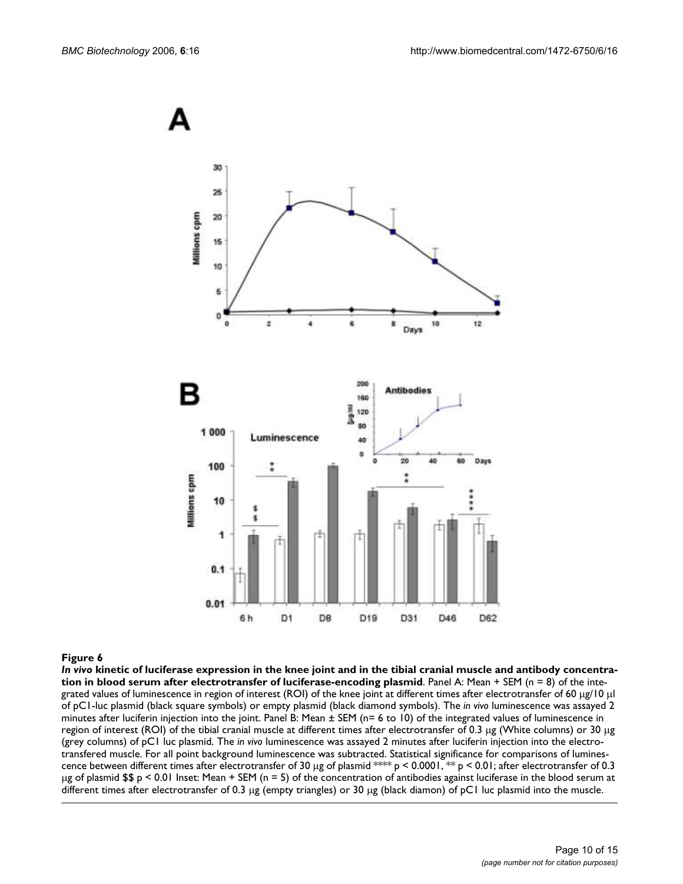

#### **Figure 6** serum after electrotransfer of *In vivo* kinetic of luciferase expression in the luciferase-encoding plasmid knee joint and in the tibial cranial muscle and antibody concentration in blood

*In vivo* **kinetic of luciferase expression in the knee joint and in the tibial cranial muscle and antibody concentration in blood serum after electrotransfer of luciferase-encoding plasmid**. Panel A: Mean + SEM (n = 8) of the integrated values of luminescence in region of interest (ROI) of the knee joint at different times after electrotransfer of 60 µg/10 µl of pC1-luc plasmid (black square symbols) or empty plasmid (black diamond symbols). The *in vivo* luminescence was assayed 2 minutes after luciferin injection into the joint. Panel B: Mean  $\pm$  SEM (n= 6 to 10) of the integrated values of luminescence in region of interest (ROI) of the tibial cranial muscle at different times after electrotransfer of 0.3 µg (White columns) or 30 µg (grey columns) of pC1 luc plasmid. The *in vivo* luminescence was assayed 2 minutes after luciferin injection into the electrotransfered muscle. For all point background luminescence was subtracted. Statistical significance for comparisons of luminescence between different times after electrotransfer of 30 µg of plasmid \*\*\*  $p < 0.0001$ , \*\*  $p < 0.01$ ; after electrotransfer of 0.3 µg of plasmid \$\$ p < 0.01 Inset: Mean + SEM (n = 5) of the concentration of antibodies against luciferase in the blood serum at different times after electrotransfer of 0.3 µg (empty triangles) or 30 µg (black diamon) of pC1 luc plasmid into the muscle.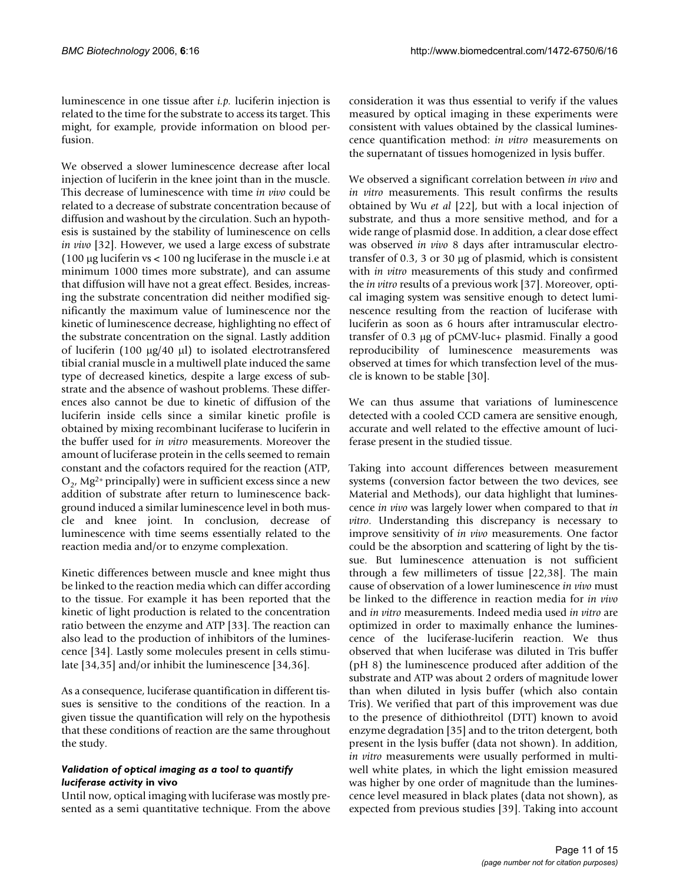luminescence in one tissue after *i.p.* luciferin injection is related to the time for the substrate to access its target. This might, for example, provide information on blood perfusion.

We observed a slower luminescence decrease after local injection of luciferin in the knee joint than in the muscle. This decrease of luminescence with time *in vivo* could be related to a decrease of substrate concentration because of diffusion and washout by the circulation. Such an hypothesis is sustained by the stability of luminescence on cells *in vivo* [32]. However, we used a large excess of substrate (100 µg luciferin vs < 100 ng luciferase in the muscle i.e at minimum 1000 times more substrate), and can assume that diffusion will have not a great effect. Besides, increasing the substrate concentration did neither modified significantly the maximum value of luminescence nor the kinetic of luminescence decrease, highlighting no effect of the substrate concentration on the signal. Lastly addition of luciferin (100 µg/40 µl) to isolated electrotransfered tibial cranial muscle in a multiwell plate induced the same type of decreased kinetics, despite a large excess of substrate and the absence of washout problems. These differences also cannot be due to kinetic of diffusion of the luciferin inside cells since a similar kinetic profile is obtained by mixing recombinant luciferase to luciferin in the buffer used for *in vitro* measurements. Moreover the amount of luciferase protein in the cells seemed to remain constant and the cofactors required for the reaction (ATP,  $O_{2'}$  Mg<sup>2+</sup> principally) were in sufficient excess since a new addition of substrate after return to luminescence background induced a similar luminescence level in both muscle and knee joint. In conclusion, decrease of luminescence with time seems essentially related to the reaction media and/or to enzyme complexation.

Kinetic differences between muscle and knee might thus be linked to the reaction media which can differ according to the tissue. For example it has been reported that the kinetic of light production is related to the concentration ratio between the enzyme and ATP [33]. The reaction can also lead to the production of inhibitors of the luminescence [34]. Lastly some molecules present in cells stimulate [34,35] and/or inhibit the luminescence [34,36].

As a consequence, luciferase quantification in different tissues is sensitive to the conditions of the reaction. In a given tissue the quantification will rely on the hypothesis that these conditions of reaction are the same throughout the study.

#### *Validation of optical imaging as a tool to quantify luciferase activity* **in vivo**

Until now, optical imaging with luciferase was mostly presented as a semi quantitative technique. From the above consideration it was thus essential to verify if the values measured by optical imaging in these experiments were consistent with values obtained by the classical luminescence quantification method: *in vitro* measurements on the supernatant of tissues homogenized in lysis buffer.

We observed a significant correlation between *in vivo* and *in vitro* measurements. This result confirms the results obtained by Wu *et al* [22], but with a local injection of substrate, and thus a more sensitive method, and for a wide range of plasmid dose. In addition, a clear dose effect was observed *in vivo* 8 days after intramuscular electrotransfer of 0.3, 3 or 30 µg of plasmid, which is consistent with *in vitro* measurements of this study and confirmed the *in vitro* results of a previous work [37]. Moreover, optical imaging system was sensitive enough to detect luminescence resulting from the reaction of luciferase with luciferin as soon as 6 hours after intramuscular electrotransfer of 0.3 µg of pCMV-luc+ plasmid. Finally a good reproducibility of luminescence measurements was observed at times for which transfection level of the muscle is known to be stable [30].

We can thus assume that variations of luminescence detected with a cooled CCD camera are sensitive enough, accurate and well related to the effective amount of luciferase present in the studied tissue.

Taking into account differences between measurement systems (conversion factor between the two devices, see Material and Methods), our data highlight that luminescence *in vivo* was largely lower when compared to that *in vitro*. Understanding this discrepancy is necessary to improve sensitivity of *in vivo* measurements. One factor could be the absorption and scattering of light by the tissue. But luminescence attenuation is not sufficient through a few millimeters of tissue [22,38]. The main cause of observation of a lower luminescence *in vivo* must be linked to the difference in reaction media for *in vivo* and *in vitro* measurements. Indeed media used *in vitro* are optimized in order to maximally enhance the luminescence of the luciferase-luciferin reaction. We thus observed that when luciferase was diluted in Tris buffer (pH 8) the luminescence produced after addition of the substrate and ATP was about 2 orders of magnitude lower than when diluted in lysis buffer (which also contain Tris). We verified that part of this improvement was due to the presence of dithiothreitol (DTT) known to avoid enzyme degradation [35] and to the triton detergent, both present in the lysis buffer (data not shown). In addition, *in vitro* measurements were usually performed in multiwell white plates, in which the light emission measured was higher by one order of magnitude than the luminescence level measured in black plates (data not shown), as expected from previous studies [39]. Taking into account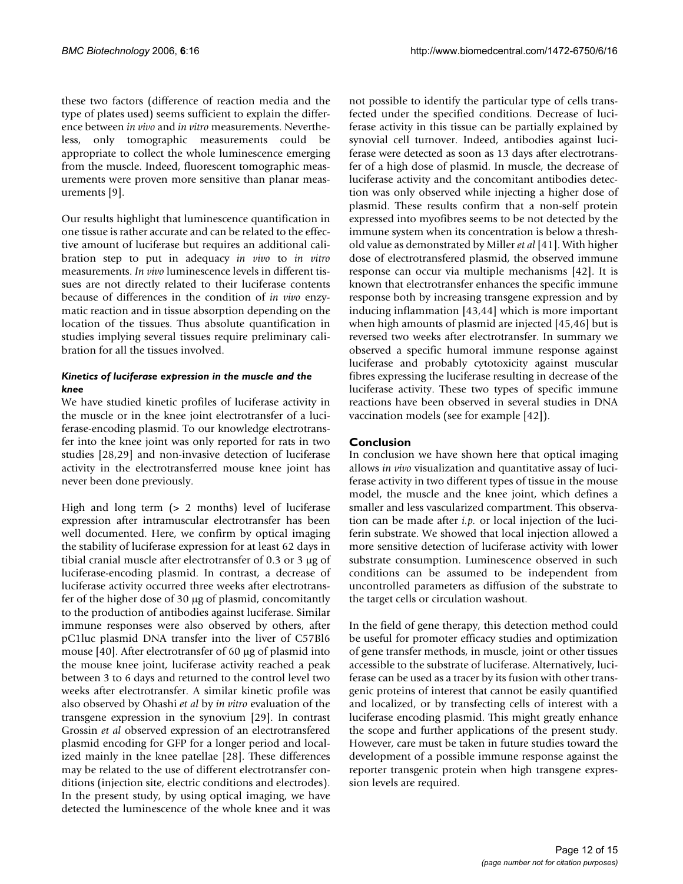these two factors (difference of reaction media and the type of plates used) seems sufficient to explain the difference between *in vivo* and *in vitro* measurements. Nevertheless, only tomographic measurements could be appropriate to collect the whole luminescence emerging from the muscle. Indeed, fluorescent tomographic measurements were proven more sensitive than planar measurements [9].

Our results highlight that luminescence quantification in one tissue is rather accurate and can be related to the effective amount of luciferase but requires an additional calibration step to put in adequacy *in vivo* to *in vitro* measurements. *In vivo* luminescence levels in different tissues are not directly related to their luciferase contents because of differences in the condition of *in vivo* enzymatic reaction and in tissue absorption depending on the location of the tissues. Thus absolute quantification in studies implying several tissues require preliminary calibration for all the tissues involved.

#### *Kinetics of luciferase expression in the muscle and the knee*

We have studied kinetic profiles of luciferase activity in the muscle or in the knee joint electrotransfer of a luciferase-encoding plasmid. To our knowledge electrotransfer into the knee joint was only reported for rats in two studies [28,29] and non-invasive detection of luciferase activity in the electrotransferred mouse knee joint has never been done previously.

High and long term (> 2 months) level of luciferase expression after intramuscular electrotransfer has been well documented. Here, we confirm by optical imaging the stability of luciferase expression for at least 62 days in tibial cranial muscle after electrotransfer of 0.3 or 3 µg of luciferase-encoding plasmid. In contrast, a decrease of luciferase activity occurred three weeks after electrotransfer of the higher dose of 30 µg of plasmid, concomitantly to the production of antibodies against luciferase. Similar immune responses were also observed by others, after pC1luc plasmid DNA transfer into the liver of C57Bl6 mouse [40]. After electrotransfer of 60 µg of plasmid into the mouse knee joint, luciferase activity reached a peak between 3 to 6 days and returned to the control level two weeks after electrotransfer. A similar kinetic profile was also observed by Ohashi *et al* by *in vitro* evaluation of the transgene expression in the synovium [29]. In contrast Grossin *et al* observed expression of an electrotransfered plasmid encoding for GFP for a longer period and localized mainly in the knee patellae [28]. These differences may be related to the use of different electrotransfer conditions (injection site, electric conditions and electrodes). In the present study, by using optical imaging, we have detected the luminescence of the whole knee and it was

not possible to identify the particular type of cells transfected under the specified conditions. Decrease of luciferase activity in this tissue can be partially explained by synovial cell turnover. Indeed, antibodies against luciferase were detected as soon as 13 days after electrotransfer of a high dose of plasmid. In muscle, the decrease of luciferase activity and the concomitant antibodies detection was only observed while injecting a higher dose of plasmid. These results confirm that a non-self protein expressed into myofibres seems to be not detected by the immune system when its concentration is below a threshold value as demonstrated by Miller *et al* [41]. With higher dose of electrotransfered plasmid, the observed immune response can occur via multiple mechanisms [42]. It is known that electrotransfer enhances the specific immune response both by increasing transgene expression and by inducing inflammation [43,44] which is more important when high amounts of plasmid are injected [45,46] but is reversed two weeks after electrotransfer. In summary we observed a specific humoral immune response against luciferase and probably cytotoxicity against muscular fibres expressing the luciferase resulting in decrease of the luciferase activity. These two types of specific immune reactions have been observed in several studies in DNA vaccination models (see for example [42]).

### **Conclusion**

In conclusion we have shown here that optical imaging allows *in vivo* visualization and quantitative assay of luciferase activity in two different types of tissue in the mouse model, the muscle and the knee joint, which defines a smaller and less vascularized compartment. This observation can be made after *i.p.* or local injection of the luciferin substrate. We showed that local injection allowed a more sensitive detection of luciferase activity with lower substrate consumption. Luminescence observed in such conditions can be assumed to be independent from uncontrolled parameters as diffusion of the substrate to the target cells or circulation washout.

In the field of gene therapy, this detection method could be useful for promoter efficacy studies and optimization of gene transfer methods, in muscle, joint or other tissues accessible to the substrate of luciferase. Alternatively, luciferase can be used as a tracer by its fusion with other transgenic proteins of interest that cannot be easily quantified and localized, or by transfecting cells of interest with a luciferase encoding plasmid. This might greatly enhance the scope and further applications of the present study. However, care must be taken in future studies toward the development of a possible immune response against the reporter transgenic protein when high transgene expression levels are required.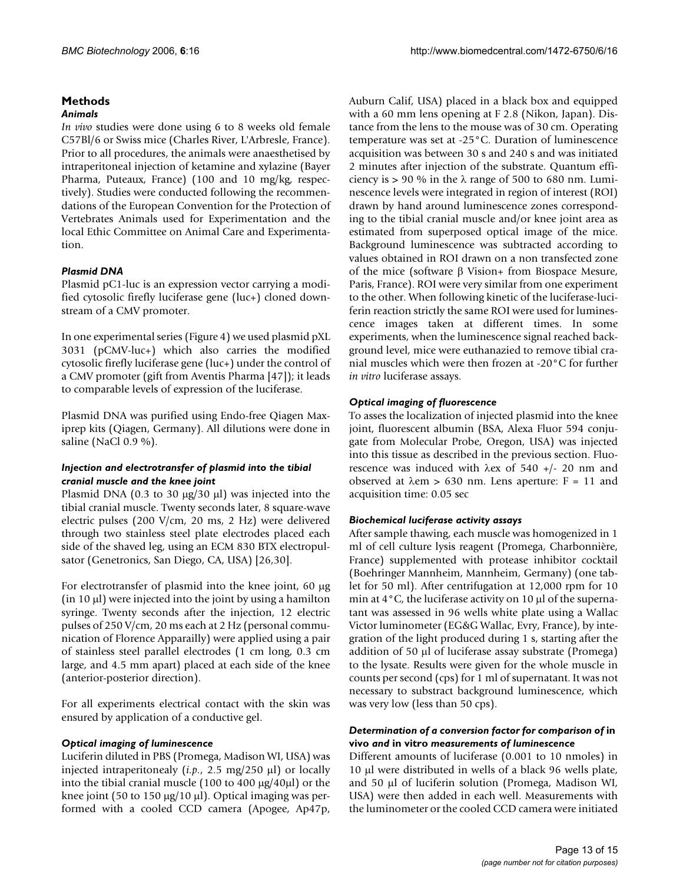#### **Methods** *Animals*

*In vivo* studies were done using 6 to 8 weeks old female C57Bl/6 or Swiss mice (Charles River, L'Arbresle, France). Prior to all procedures, the animals were anaesthetised by intraperitoneal injection of ketamine and xylazine (Bayer Pharma, Puteaux, France) (100 and 10 mg/kg, respectively). Studies were conducted following the recommendations of the European Convention for the Protection of Vertebrates Animals used for Experimentation and the local Ethic Committee on Animal Care and Experimentation.

#### *Plasmid DNA*

Plasmid pC1-luc is an expression vector carrying a modified cytosolic firefly luciferase gene (luc+) cloned downstream of a CMV promoter.

In one experimental series (Figure 4) we used plasmid pXL 3031 (pCMV-luc+) which also carries the modified cytosolic firefly luciferase gene (luc+) under the control of a CMV promoter (gift from Aventis Pharma [47]); it leads to comparable levels of expression of the luciferase.

Plasmid DNA was purified using Endo-free Qiagen Maxiprep kits (Qiagen, Germany). All dilutions were done in saline (NaCl 0.9 %).

#### *Injection and electrotransfer of plasmid into the tibial cranial muscle and the knee joint*

Plasmid DNA (0.3 to 30  $\mu$ g/30  $\mu$ ) was injected into the tibial cranial muscle. Twenty seconds later, 8 square-wave electric pulses (200 V/cm, 20 ms, 2 Hz) were delivered through two stainless steel plate electrodes placed each side of the shaved leg, using an ECM 830 BTX electropulsator (Genetronics, San Diego, CA, USA) [26,30].

For electrotransfer of plasmid into the knee joint, 60 µg  $(in 10 \mu I)$  were injected into the joint by using a hamilton syringe. Twenty seconds after the injection, 12 electric pulses of 250 V/cm, 20 ms each at 2 Hz (personal communication of Florence Apparailly) were applied using a pair of stainless steel parallel electrodes (1 cm long, 0.3 cm large, and 4.5 mm apart) placed at each side of the knee (anterior-posterior direction).

For all experiments electrical contact with the skin was ensured by application of a conductive gel.

#### *Optical imaging of luminescence*

Luciferin diluted in PBS (Promega, Madison WI, USA) was injected intraperitonealy (*i.p.*, 2.5 mg/250 µl) or locally into the tibial cranial muscle (100 to 400 µg/40µl) or the knee joint (50 to 150  $\mu$ g/10  $\mu$ l). Optical imaging was performed with a cooled CCD camera (Apogee, Ap47p,

Auburn Calif, USA) placed in a black box and equipped with a 60 mm lens opening at F 2.8 (Nikon, Japan). Distance from the lens to the mouse was of 30 cm. Operating temperature was set at -25°C. Duration of luminescence acquisition was between 30 s and 240 s and was initiated 2 minutes after injection of the substrate. Quantum efficiency is  $> 90\%$  in the  $\lambda$  range of 500 to 680 nm. Luminescence levels were integrated in region of interest (ROI) drawn by hand around luminescence zones corresponding to the tibial cranial muscle and/or knee joint area as estimated from superposed optical image of the mice. Background luminescence was subtracted according to values obtained in ROI drawn on a non transfected zone of the mice (software β Vision+ from Biospace Mesure, Paris, France). ROI were very similar from one experiment to the other. When following kinetic of the luciferase-luciferin reaction strictly the same ROI were used for luminescence images taken at different times. In some experiments, when the luminescence signal reached background level, mice were euthanazied to remove tibial cranial muscles which were then frozen at -20°C for further *in vitro* luciferase assays.

#### *Optical imaging of fluorescence*

To asses the localization of injected plasmid into the knee joint, fluorescent albumin (BSA, Alexa Fluor 594 conjugate from Molecular Probe, Oregon, USA) was injected into this tissue as described in the previous section. Fluorescence was induced with  $\lambda$ ex of 540 +/- 20 nm and observed at  $λ$ em > 630 nm. Lens aperture: F = 11 and acquisition time: 0.05 sec

#### *Biochemical luciferase activity assays*

After sample thawing, each muscle was homogenized in 1 ml of cell culture lysis reagent (Promega, Charbonnière, France) supplemented with protease inhibitor cocktail (Boehringer Mannheim, Mannheim, Germany) (one tablet for 50 ml). After centrifugation at 12,000 rpm for 10 min at  $4^{\circ}$ C, the luciferase activity on 10  $\mu$ l of the supernatant was assessed in 96 wells white plate using a Wallac Victor luminometer (EG&G Wallac, Evry, France), by integration of the light produced during 1 s, starting after the addition of 50 µl of luciferase assay substrate (Promega) to the lysate. Results were given for the whole muscle in counts per second (cps) for 1 ml of supernatant. It was not necessary to substract background luminescence, which was very low (less than 50 cps).

#### *Determination of a conversion factor for comparison of* **in vivo** *and* **in vitro** *measurements of luminescence*

Different amounts of luciferase (0.001 to 10 nmoles) in 10 µl were distributed in wells of a black 96 wells plate, and 50 µl of luciferin solution (Promega, Madison WI, USA) were then added in each well. Measurements with the luminometer or the cooled CCD camera were initiated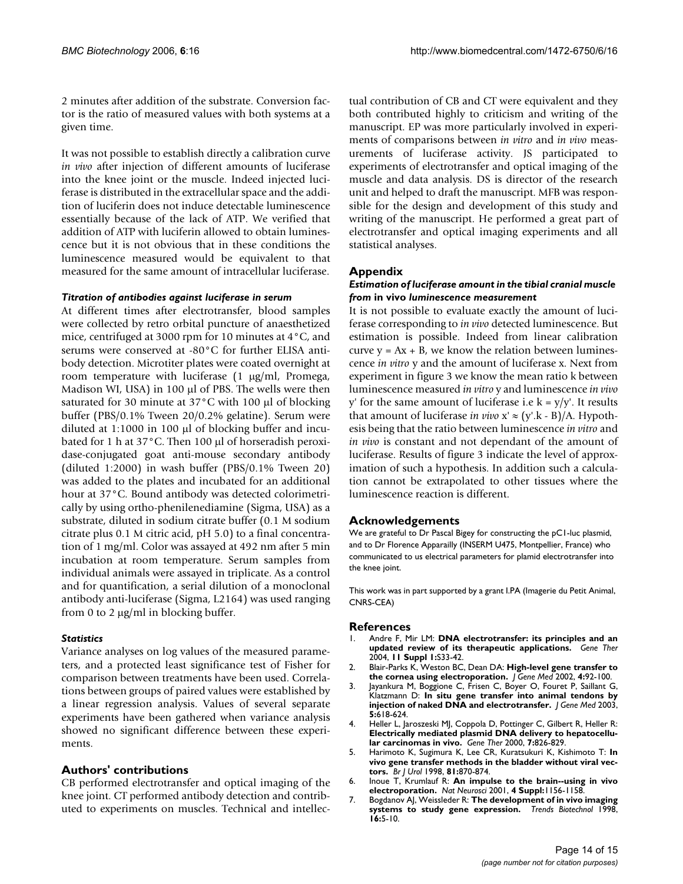2 minutes after addition of the substrate. Conversion factor is the ratio of measured values with both systems at a given time.

It was not possible to establish directly a calibration curve *in vivo* after injection of different amounts of luciferase into the knee joint or the muscle. Indeed injected luciferase is distributed in the extracellular space and the addition of luciferin does not induce detectable luminescence essentially because of the lack of ATP. We verified that addition of ATP with luciferin allowed to obtain luminescence but it is not obvious that in these conditions the luminescence measured would be equivalent to that measured for the same amount of intracellular luciferase.

#### *Titration of antibodies against luciferase in serum*

At different times after electrotransfer, blood samples were collected by retro orbital puncture of anaesthetized mice, centrifuged at 3000 rpm for 10 minutes at 4°C, and serums were conserved at -80°C for further ELISA antibody detection. Microtiter plates were coated overnight at room temperature with luciferase  $(1 \mu g/ml)$ , Promega, Madison WI, USA) in 100 µl of PBS. The wells were then saturated for 30 minute at 37°C with 100 µl of blocking buffer (PBS/0.1% Tween 20/0.2% gelatine). Serum were diluted at 1:1000 in 100 µl of blocking buffer and incubated for 1 h at 37°C. Then 100 µl of horseradish peroxidase-conjugated goat anti-mouse secondary antibody (diluted 1:2000) in wash buffer (PBS/0.1% Tween 20) was added to the plates and incubated for an additional hour at 37°C. Bound antibody was detected colorimetrically by using ortho-phenilenediamine (Sigma, USA) as a substrate, diluted in sodium citrate buffer (0.1 M sodium citrate plus 0.1 M citric acid, pH 5.0) to a final concentration of 1 mg/ml. Color was assayed at 492 nm after 5 min incubation at room temperature. Serum samples from individual animals were assayed in triplicate. As a control and for quantification, a serial dilution of a monoclonal antibody anti-luciferase (Sigma, L2164) was used ranging from 0 to 2  $\mu$ g/ml in blocking buffer.

#### *Statistics*

Variance analyses on log values of the measured parameters, and a protected least significance test of Fisher for comparison between treatments have been used. Correlations between groups of paired values were established by a linear regression analysis. Values of several separate experiments have been gathered when variance analysis showed no significant difference between these experiments.

#### **Authors' contributions**

CB performed electrotransfer and optical imaging of the knee joint. CT performed antibody detection and contributed to experiments on muscles. Technical and intellectual contribution of CB and CT were equivalent and they both contributed highly to criticism and writing of the manuscript. EP was more particularly involved in experiments of comparisons between *in vitro* and *in vivo* measurements of luciferase activity. JS participated to experiments of electrotransfer and optical imaging of the muscle and data analysis. DS is director of the research unit and helped to draft the manuscript. MFB was responsible for the design and development of this study and writing of the manuscript. He performed a great part of electrotransfer and optical imaging experiments and all statistical analyses.

#### **Appendix**

#### *Estimation of luciferase amount in the tibial cranial muscle from* **in vivo** *luminescence measurement*

It is not possible to evaluate exactly the amount of luciferase corresponding to *in vivo* detected luminescence. But estimation is possible. Indeed from linear calibration curve  $y = Ax + B$ , we know the relation between luminescence *in vitro* y and the amount of luciferase x. Next from experiment in figure 3 we know the mean ratio k between luminescence measured *in vitro* y and luminescence *in vivo*  $y'$  for the same amount of luciferase i.e  $k = y/y'$ . It results that amount of luciferase *in vivo* x' ≈ (y'.k - B)/A. Hypothesis being that the ratio between luminescence *in vitro* and *in vivo* is constant and not dependant of the amount of luciferase. Results of figure 3 indicate the level of approximation of such a hypothesis. In addition such a calculation cannot be extrapolated to other tissues where the luminescence reaction is different.

#### **Acknowledgements**

We are grateful to Dr Pascal Bigey for constructing the pC1-luc plasmid, and to Dr Florence Apparailly (INSERM U475, Montpellier, France) who communicated to us electrical parameters for plamid electrotransfer into the knee joint.

This work was in part supported by a grant I.PA (Imagerie du Petit Animal, CNRS-CEA)

#### **References**

- 1. Andre F, Mir LM: **[DNA electrotransfer: its principles and an](http://www.ncbi.nlm.nih.gov/entrez/query.fcgi?cmd=Retrieve&db=PubMed&dopt=Abstract&list_uids=15454955) [updated review of its therapeutic applications.](http://www.ncbi.nlm.nih.gov/entrez/query.fcgi?cmd=Retrieve&db=PubMed&dopt=Abstract&list_uids=15454955)** *Gene Ther* 2004, **11 Suppl 1:**S33-42.
- 2. Blair-Parks K, Weston BC, Dean DA: **[High-level gene transfer to](http://www.ncbi.nlm.nih.gov/entrez/query.fcgi?cmd=Retrieve&db=PubMed&dopt=Abstract&list_uids=11828392) [the cornea using electroporation.](http://www.ncbi.nlm.nih.gov/entrez/query.fcgi?cmd=Retrieve&db=PubMed&dopt=Abstract&list_uids=11828392)** *J Gene Med* 2002, **4:**92-100.
- 3. Jayankura M, Boggione C, Frisen C, Boyer O, Fouret P, Saillant G, Klatzmann D: **[In situ gene transfer into animal tendons by](http://www.ncbi.nlm.nih.gov/entrez/query.fcgi?cmd=Retrieve&db=PubMed&dopt=Abstract&list_uids=12825201) [injection of naked DNA and electrotransfer.](http://www.ncbi.nlm.nih.gov/entrez/query.fcgi?cmd=Retrieve&db=PubMed&dopt=Abstract&list_uids=12825201)** *J Gene Med* 2003, **5:**618-624.
- 4. Heller L, Jaroszeski MJ, Coppola D, Pottinger C, Gilbert R, Heller R: **[Electrically mediated plasmid DNA delivery to hepatocellu](http://www.ncbi.nlm.nih.gov/entrez/query.fcgi?cmd=Retrieve&db=PubMed&dopt=Abstract&list_uids=10845719)[lar carcinomas in vivo.](http://www.ncbi.nlm.nih.gov/entrez/query.fcgi?cmd=Retrieve&db=PubMed&dopt=Abstract&list_uids=10845719)** *Gene Ther* 2000, **7:**826-829.
- 5. Harimoto K, Sugimura K, Lee CR, Kuratsukuri K, Kishimoto T: **[In](http://www.ncbi.nlm.nih.gov/entrez/query.fcgi?cmd=Retrieve&db=PubMed&dopt=Abstract&list_uids=9666773) [vivo gene transfer methods in the bladder without viral vec](http://www.ncbi.nlm.nih.gov/entrez/query.fcgi?cmd=Retrieve&db=PubMed&dopt=Abstract&list_uids=9666773)[tors.](http://www.ncbi.nlm.nih.gov/entrez/query.fcgi?cmd=Retrieve&db=PubMed&dopt=Abstract&list_uids=9666773)** *Br J Urol* 1998, **81:**870-874.
- 6. Inoue T, Krumlauf R: **[An impulse to the brain--using in vivo](http://www.ncbi.nlm.nih.gov/entrez/query.fcgi?cmd=Retrieve&db=PubMed&dopt=Abstract&list_uids=11687822) [electroporation.](http://www.ncbi.nlm.nih.gov/entrez/query.fcgi?cmd=Retrieve&db=PubMed&dopt=Abstract&list_uids=11687822)** *Nat Neurosci* 2001, **4 Suppl:**1156-1158.
- 7. Bogdanov AJ, Weissleder R: **[The development of in vivo imaging](http://www.ncbi.nlm.nih.gov/entrez/query.fcgi?cmd=Retrieve&db=PubMed&dopt=Abstract&list_uids=9470227) [systems to study gene expression.](http://www.ncbi.nlm.nih.gov/entrez/query.fcgi?cmd=Retrieve&db=PubMed&dopt=Abstract&list_uids=9470227)** *Trends Biotechnol* 1998, **16:**5-10.